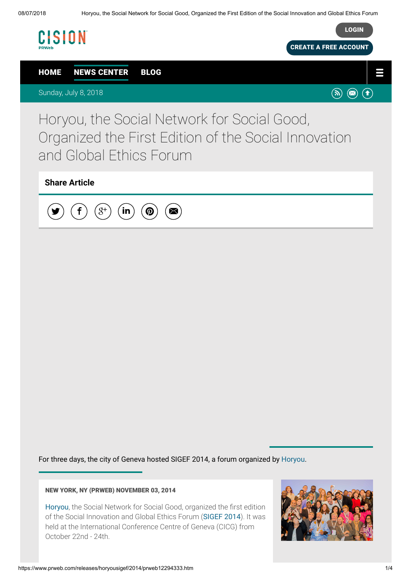

For three days, the city of Geneva hosted SIGEF 2014, a forum organized by [Horyou](https://www.horyou.com/).

## NEW YORK, NY (PRWEB) NOVEMBER 03, 2014

[Horyou](https://www.horyou.com/), the Social Network for Social Good, organized the first edition of the Social Innovation and Global Ethics Forum ([SIGEF 2014](https://www.sigef2014.com/)). It was held at the International Conference Centre of Geneva (CICG) from October 22nd - 24th.

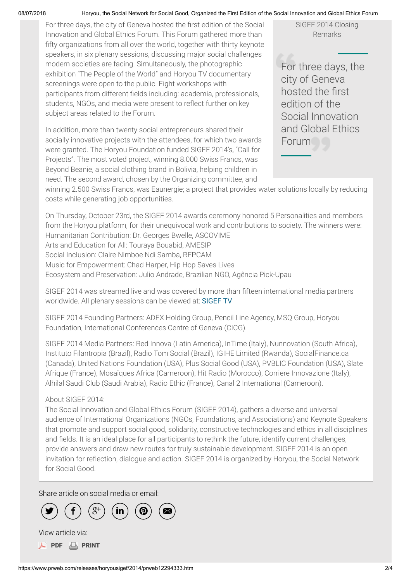## 08/07/2018 Horyou, the Social Network for Social Good, Organized the First Edition of the Social Innovation and Global Ethics Forum

For three days, the city of Geneva hosted the first edition of the Social Innovation and Global Ethics Forum. This Forum gathered more than fifty organizations from all over the world, together with thirty keynote speakers, in six plenary sessions, discussing major social challenges modern societies are facing. Simultaneously, the photographic exhibition "The People of the World" and Horyou TV documentary screenings were open to the public. Eight workshops with participants from different fields including: academia, professionals, students, NGOs, and media were present to reflect further on key subject areas related to the Forum.

In addition, more than twenty social entrepreneurs shared their socially innovative projects with the attendees, for which two awards were granted. The Horyou Foundation funded SIGEF 2014's, "Call for Projects". The most voted project, winning 8.000 Swiss Francs, was Beyond Beanie, a social clothing brand in Bolivia, helping children in need. The second award, chosen by the Organizing committee, and

SIGEF 2014 Closing Remarks

For three days, the city of Geneva hosted the first edition of the Social Innovation and Global Ethics Forum

winning 2.500 Swiss Francs, was Eaunergie; a project that provides water solutions locally by reducing costs while generating job opportunities.

On Thursday, October 23rd, the SIGEF 2014 awards ceremony honored 5 Personalities and members from the Horyou platform, for their unequivocal work and contributions to society. The winners were: Humanitarian Contribution: Dr. Georges Bwelle, ASCOVIME Arts and Education for All: Touraya Bouabid, AMESIP Social Inclusion: Claire Nimboe Ndi Samba, REPCAM Music for Empowerment: Chad Harper, Hip Hop Saves Lives Ecosystem and Preservation: Julio Andrade, Brazilian NGO, Agência Pick-Upau

SIGEF 2014 was streamed live and was covered by more than fifteen international media partners worldwide. All plenary sessions can be viewed at: [SIGEF TV](https://www.youtube.com/channel/UC1dCQuplvWJ_BQ8nNUYg20w)

SIGEF 2014 Founding Partners: ADEX Holding Group, Pencil Line Agency, MSQ Group, Horyou Foundation, International Conferences Centre of Geneva (CICG).

SIGEF 2014 Media Partners: Red Innova (Latin America), InTime (Italy), Nunnovation (South Africa), Instituto Filantropia (Brazil), Radio Tom Social (Brazil), IGIHE Limited (Rwanda), SocialFinance.ca (Canada), United Nations Foundation (USA), Plus Social Good (USA), PVBLIC Foundation (USA), Slate Afrique (France), Mosaïques Africa (Cameroon), Hit Radio (Morocco), Corriere Innovazione (Italy), Alhilal Saudi Club (Saudi Arabia), Radio Ethic (France), Canal 2 International (Cameroon).

## About SIGEF 2014:

The Social Innovation and Global Ethics Forum (SIGEF 2014), gathers a diverse and universal audience of International Organizations (NGOs, Foundations, and Associations) and Keynote Speakers that promote and support social good, solidarity, constructive technologies and ethics in all disciplines and fields. It is an ideal place for all participants to rethink the future, identify current challenges, provide answers and draw new routes for truly sustainable development. SIGEF 2014 is an open invitation for reflection, dialogue and action. SIGEF 2014 is organized by Horyou, the Social Network for Social Good.

Share article on social media or email:





**A** [PDF](https://www.prweb.com/pdfdownload/12294333.pdf) **L** [PRINT](https://www.prweb.com/printer/12294333.htm)